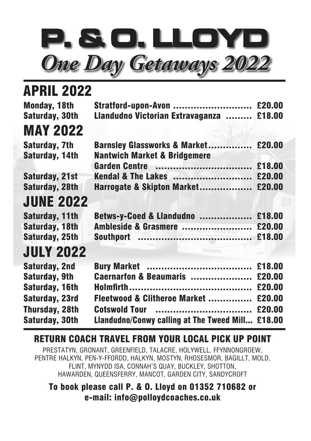

| <b>APRIL 2022</b>     |                                           |        |
|-----------------------|-------------------------------------------|--------|
| Monday, 18th          | Stratford-upon-Avon  £20.00               |        |
| <b>Saturday, 30th</b> | Llandudno Victorian Extravaganza  £18.00  |        |
| <b>MAY 2022</b>       |                                           |        |
| Saturday, 7th         | Barnsley Glassworks & Market £20.00       |        |
| Saturday, 14th        | <b>Nantwich Market &amp; Bridgemere</b>   |        |
|                       |                                           | £18.00 |
| <b>Saturday, 21st</b> | <b>Kendal &amp; The Lakes </b>            | £20.00 |
| <b>Saturday, 28th</b> | Harrogate & Skipton Market £20.00         |        |
| <b>JUNE 2022</b>      |                                           |        |
| Saturday, 11th        | Betws-y-Coed & Llandudno                  | £18.00 |
| <b>Saturday, 18th</b> | Ambleside & Grasmere                      | £20.00 |
| <b>Saturday, 25th</b> |                                           | £18.00 |
| <b>JULY 2022</b>      | BV20 HPM                                  |        |
| <b>Saturday, 2nd</b>  | <b>Bury Market </b>                       | £18.00 |
| <b>Saturday, 9th</b>  | Caernarfon & Beaumaris                    | £20.00 |
| Saturday, 16th        |                                           | £20.00 |
| Saturday, 23rd        | Fleetwood & Clitheroe Market              | £20.00 |
| <b>Thursday, 28th</b> | <b>Cotswold Tour</b><br>                  | £20.00 |
| <b>Saturday, 30th</b> | Llandudno/Conwy calling at The Tweed Mill | £18.00 |

## RETURN COACH TRAVEL FROM YOUR LOCAL PICK UP POINT

PRESTATYN, GRONANT, GREENFIELD, TALACRE, HOLYWELL, FFYNNONGROEW, PENTRE HALKYN, PEN-Y-FFORDD, HALKYN, MOSTYN, RHOSESMOR, BAGILLT, MOLD, FLINT, MYNYDD ISA, CONNAH'S QUAY, BUCKLEY, SHOTTON, HAWARDEN, QUEENSFERRY, MANCOT, GARDEN CITY, SANDYCROFT

## To book please call P. & O. Lloyd on 01352 710682 or e-mail: info@polloydcoaches.co.uk